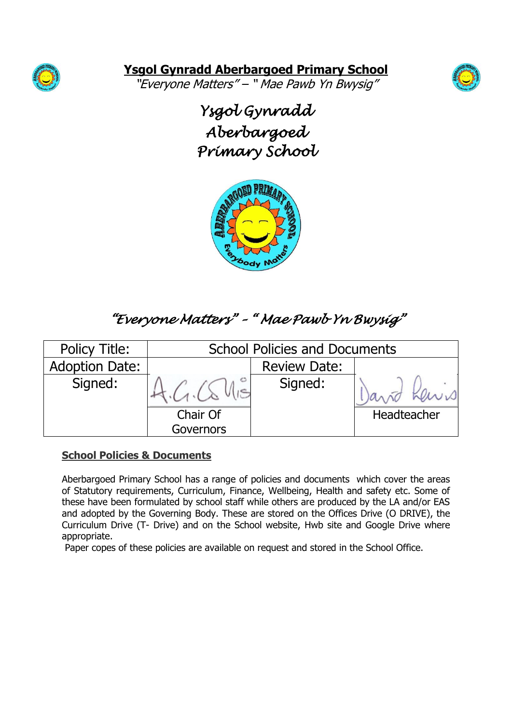

## **Ysgol Gynradd Aberbargoed Primary School**



"Everyone Matters" – " Mae Pawb Yn Bwysig"

*Ysgol Gynradd Aberbargoed Primary School* 



## *"Everyone Matters" – " Mae Pawb Yn Bwysig"*

| <b>Policy Title:</b>  | <b>School Policies and Documents</b> |                     |             |
|-----------------------|--------------------------------------|---------------------|-------------|
| <b>Adoption Date:</b> |                                      | <b>Review Date:</b> |             |
| Signed:               |                                      | Signed:             |             |
|                       | Chair Of                             |                     | Headteacher |
|                       | Governors                            |                     |             |

## **School Policies & Documents**

Aberbargoed Primary School has a range of policies and documents which cover the areas of Statutory requirements, Curriculum, Finance, Wellbeing, Health and safety etc. Some of these have been formulated by school staff while others are produced by the LA and/or EAS and adopted by the Governing Body. These are stored on the Offices Drive (O DRIVE), the Curriculum Drive (T- Drive) and on the School website, Hwb site and Google Drive where appropriate.

Paper copes of these policies are available on request and stored in the School Office.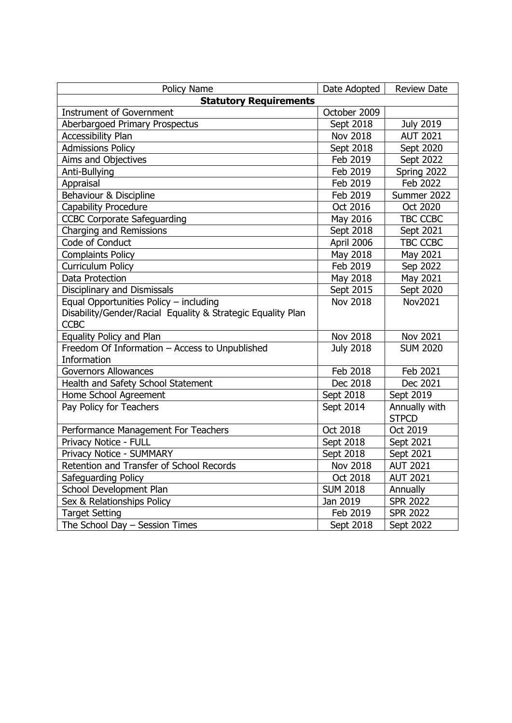| Policy Name                                                 | Date Adopted     | <b>Review Date</b>            |  |  |
|-------------------------------------------------------------|------------------|-------------------------------|--|--|
| <b>Statutory Requirements</b>                               |                  |                               |  |  |
| <b>Instrument of Government</b>                             | October 2009     |                               |  |  |
| Aberbargoed Primary Prospectus                              | Sept 2018        | <b>July 2019</b>              |  |  |
| <b>Accessibility Plan</b>                                   | <b>Nov 2018</b>  | <b>AUT 2021</b>               |  |  |
| <b>Admissions Policy</b>                                    | Sept 2018        | Sept 2020                     |  |  |
| <b>Aims and Objectives</b>                                  | Feb 2019         | Sept 2022                     |  |  |
| Anti-Bullying                                               | Feb 2019         | Spring 2022                   |  |  |
| Appraisal                                                   | Feb 2019         | Feb 2022                      |  |  |
| Behaviour & Discipline                                      | Feb 2019         | Summer 2022                   |  |  |
| Capability Procedure                                        | Oct 2016         | Oct 2020                      |  |  |
| <b>CCBC Corporate Safeguarding</b>                          | May 2016         | TBC CCBC                      |  |  |
| Charging and Remissions                                     | Sept 2018        | Sept 2021                     |  |  |
| Code of Conduct                                             | April 2006       | TBC CCBC                      |  |  |
| <b>Complaints Policy</b>                                    | May 2018         | May 2021                      |  |  |
| <b>Curriculum Policy</b>                                    | Feb 2019         | Sep 2022                      |  |  |
| Data Protection                                             | May 2018         | May 2021                      |  |  |
| Disciplinary and Dismissals                                 | Sept 2015        | Sept 2020                     |  |  |
| Equal Opportunities Policy - including                      | <b>Nov 2018</b>  | Nov2021                       |  |  |
| Disability/Gender/Racial Equality & Strategic Equality Plan |                  |                               |  |  |
| <b>CCBC</b>                                                 |                  |                               |  |  |
| Equality Policy and Plan                                    | <b>Nov 2018</b>  | Nov 2021                      |  |  |
| Freedom Of Information - Access to Unpublished              | <b>July 2018</b> | <b>SUM 2020</b>               |  |  |
| Information                                                 |                  |                               |  |  |
| <b>Governors Allowances</b>                                 | Feb 2018         | Feb 2021                      |  |  |
| Health and Safety School Statement                          | Dec 2018         | Dec 2021                      |  |  |
| Home School Agreement                                       | Sept 2018        | Sept 2019                     |  |  |
| Pay Policy for Teachers                                     | Sept 2014        | Annually with<br><b>STPCD</b> |  |  |
| Performance Management For Teachers                         | Oct 2018         | Oct 2019                      |  |  |
| Privacy Notice - FULL                                       | Sept 2018        | Sept 2021                     |  |  |
| Privacy Notice - SUMMARY                                    | Sept 2018        | Sept 2021                     |  |  |
| Retention and Transfer of School Records                    | <b>Nov 2018</b>  | <b>AUT 2021</b>               |  |  |
| Safeguarding Policy                                         | Oct 2018         | <b>AUT 2021</b>               |  |  |
| School Development Plan                                     | <b>SUM 2018</b>  | <b>Annually</b>               |  |  |
| Sex & Relationships Policy                                  | Jan 2019         | <b>SPR 2022</b>               |  |  |
| <b>Target Setting</b>                                       | Feb 2019         | <b>SPR 2022</b>               |  |  |
| The School Day - Session Times                              | Sept 2018        | Sept 2022                     |  |  |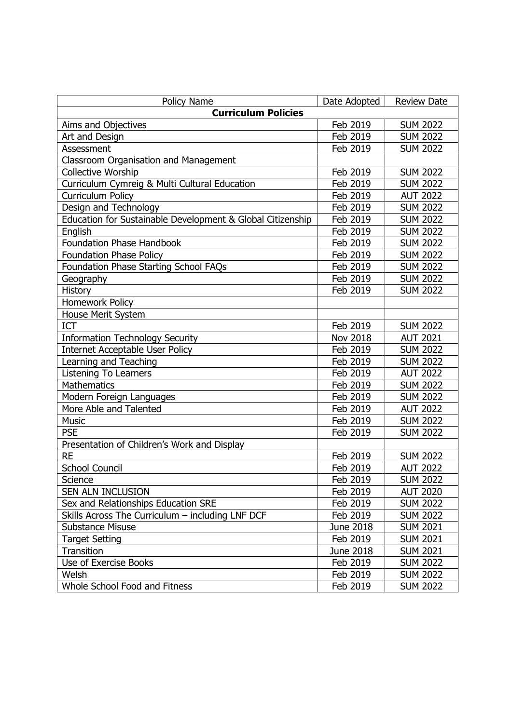| Policy Name                                                | Date Adopted    | <b>Review Date</b> |  |  |
|------------------------------------------------------------|-----------------|--------------------|--|--|
| <b>Curriculum Policies</b>                                 |                 |                    |  |  |
| Aims and Objectives                                        | Feb 2019        | <b>SUM 2022</b>    |  |  |
| Art and Design                                             | Feb 2019        | <b>SUM 2022</b>    |  |  |
| Assessment                                                 | Feb 2019        | <b>SUM 2022</b>    |  |  |
| Classroom Organisation and Management                      |                 |                    |  |  |
| <b>Collective Worship</b>                                  | Feb 2019        | <b>SUM 2022</b>    |  |  |
| Curriculum Cymreig & Multi Cultural Education              | Feb 2019        | <b>SUM 2022</b>    |  |  |
| <b>Curriculum Policy</b>                                   | Feb 2019        | <b>AUT 2022</b>    |  |  |
| Design and Technology                                      | Feb 2019        | <b>SUM 2022</b>    |  |  |
| Education for Sustainable Development & Global Citizenship | Feb 2019        | <b>SUM 2022</b>    |  |  |
| English                                                    | Feb 2019        | <b>SUM 2022</b>    |  |  |
| <b>Foundation Phase Handbook</b>                           | Feb 2019        | <b>SUM 2022</b>    |  |  |
| <b>Foundation Phase Policy</b>                             | Feb 2019        | <b>SUM 2022</b>    |  |  |
| Foundation Phase Starting School FAQs                      | Feb 2019        | <b>SUM 2022</b>    |  |  |
| Geography                                                  | Feb 2019        | <b>SUM 2022</b>    |  |  |
| History                                                    | Feb 2019        | <b>SUM 2022</b>    |  |  |
| Homework Policy                                            |                 |                    |  |  |
| House Merit System                                         |                 |                    |  |  |
| <b>ICT</b>                                                 | Feb 2019        | <b>SUM 2022</b>    |  |  |
| <b>Information Technology Security</b>                     | <b>Nov 2018</b> | <b>AUT 2021</b>    |  |  |
| Internet Acceptable User Policy                            | Feb 2019        | <b>SUM 2022</b>    |  |  |
| Learning and Teaching                                      | Feb 2019        | <b>SUM 2022</b>    |  |  |
| <b>Listening To Learners</b>                               | Feb 2019        | <b>AUT 2022</b>    |  |  |
| <b>Mathematics</b>                                         | Feb 2019        | <b>SUM 2022</b>    |  |  |
| Modern Foreign Languages                                   | Feb 2019        | <b>SUM 2022</b>    |  |  |
| More Able and Talented                                     | Feb 2019        | <b>AUT 2022</b>    |  |  |
| <b>Music</b>                                               | Feb 2019        | <b>SUM 2022</b>    |  |  |
| <b>PSE</b>                                                 | Feb 2019        | <b>SUM 2022</b>    |  |  |
| Presentation of Children's Work and Display                |                 |                    |  |  |
| <b>RE</b>                                                  | Feb 2019        | <b>SUM 2022</b>    |  |  |
| <b>School Council</b>                                      | Feb 2019        | <b>AUT 2022</b>    |  |  |
| Science                                                    | Feb 2019        | <b>SUM 2022</b>    |  |  |
| <b>SEN ALN INCLUSION</b>                                   | Feb 2019        | <b>AUT 2020</b>    |  |  |
| Sex and Relationships Education SRE                        | Feb 2019        | <b>SUM 2022</b>    |  |  |
| Skills Across The Curriculum - including LNF DCF           | Feb 2019        | <b>SUM 2022</b>    |  |  |
| <b>Substance Misuse</b>                                    | June 2018       | <b>SUM 2021</b>    |  |  |
| <b>Target Setting</b>                                      | Feb 2019        | <b>SUM 2021</b>    |  |  |
| Transition                                                 | June 2018       | <b>SUM 2021</b>    |  |  |
| Use of Exercise Books                                      | Feb 2019        | <b>SUM 2022</b>    |  |  |
| Welsh                                                      | Feb 2019        | <b>SUM 2022</b>    |  |  |
| Whole School Food and Fitness                              | Feb 2019        | <b>SUM 2022</b>    |  |  |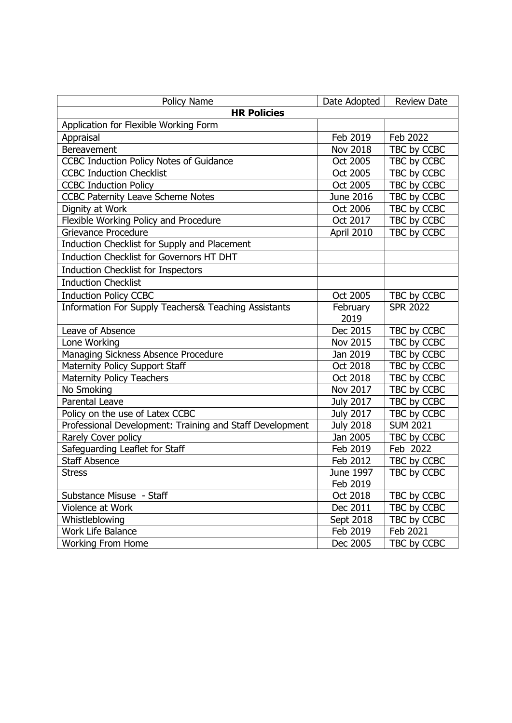| Policy Name                                                     | Date Adopted     | <b>Review Date</b> |  |  |
|-----------------------------------------------------------------|------------------|--------------------|--|--|
| <b>HR Policies</b>                                              |                  |                    |  |  |
| Application for Flexible Working Form                           |                  |                    |  |  |
| Appraisal                                                       | Feb 2019         | Feb 2022           |  |  |
| Bereavement                                                     | <b>Nov 2018</b>  | TBC by CCBC        |  |  |
| <b>CCBC Induction Policy Notes of Guidance</b>                  | Oct 2005         | TBC by CCBC        |  |  |
| <b>CCBC Induction Checklist</b>                                 | Oct 2005         | TBC by CCBC        |  |  |
| <b>CCBC Induction Policy</b>                                    | Oct 2005         | TBC by CCBC        |  |  |
| <b>CCBC Paternity Leave Scheme Notes</b>                        | June 2016        | TBC by CCBC        |  |  |
| Dignity at Work                                                 | Oct 2006         | TBC by CCBC        |  |  |
| Flexible Working Policy and Procedure                           | Oct 2017         | TBC by CCBC        |  |  |
| Grievance Procedure                                             | April 2010       | TBC by CCBC        |  |  |
| Induction Checklist for Supply and Placement                    |                  |                    |  |  |
| <b>Induction Checklist for Governors HT DHT</b>                 |                  |                    |  |  |
| <b>Induction Checklist for Inspectors</b>                       |                  |                    |  |  |
| <b>Induction Checklist</b>                                      |                  |                    |  |  |
| <b>Induction Policy CCBC</b>                                    | Oct 2005         | TBC by CCBC        |  |  |
| <b>Information For Supply Teachers&amp; Teaching Assistants</b> | February<br>2019 | <b>SPR 2022</b>    |  |  |
| Leave of Absence                                                | Dec 2015         | TBC by CCBC        |  |  |
| Lone Working                                                    | Nov 2015         | TBC by CCBC        |  |  |
| Managing Sickness Absence Procedure                             | Jan 2019         | TBC by CCBC        |  |  |
| Maternity Policy Support Staff                                  | Oct 2018         | TBC by CCBC        |  |  |
| <b>Maternity Policy Teachers</b>                                | Oct 2018         | TBC by CCBC        |  |  |
| No Smoking                                                      | Nov 2017         | TBC by CCBC        |  |  |
| <b>Parental Leave</b>                                           | <b>July 2017</b> | TBC by CCBC        |  |  |
| Policy on the use of Latex CCBC                                 | <b>July 2017</b> | TBC by CCBC        |  |  |
| Professional Development: Training and Staff Development        | <b>July 2018</b> | <b>SUM 2021</b>    |  |  |
| Rarely Cover policy                                             | Jan 2005         | TBC by CCBC        |  |  |
| Safeguarding Leaflet for Staff                                  | Feb 2019         | Feb 2022           |  |  |
| <b>Staff Absence</b>                                            | Feb 2012         | TBC by CCBC        |  |  |
| <b>Stress</b>                                                   | June 1997        | TBC by CCBC        |  |  |
|                                                                 | Feb 2019         |                    |  |  |
| Substance Misuse - Staff                                        | Oct 2018         | TBC by CCBC        |  |  |
| Violence at Work                                                | Dec 2011         | TBC by CCBC        |  |  |
| Whistleblowing                                                  | Sept 2018        | TBC by CCBC        |  |  |
| Work Life Balance                                               | Feb 2019         | Feb 2021           |  |  |
| <b>Working From Home</b>                                        | Dec 2005         | TBC by CCBC        |  |  |